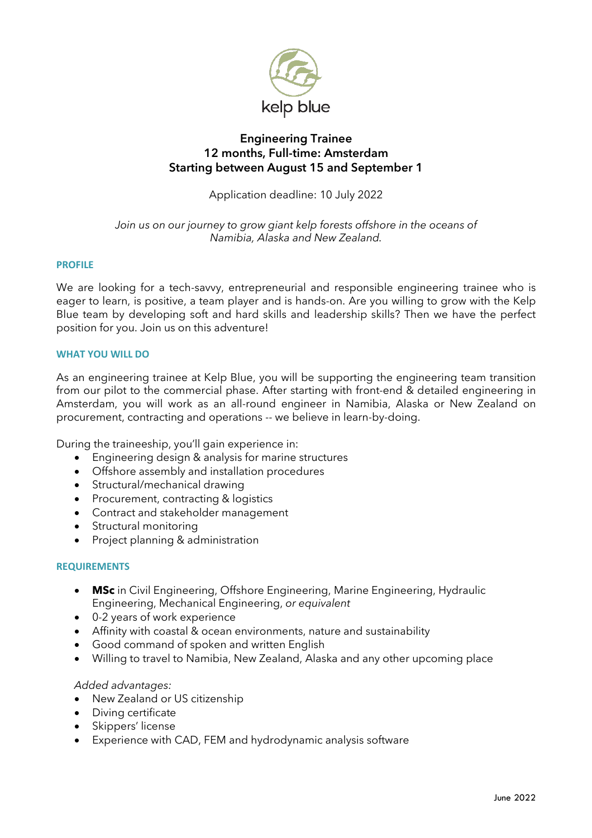

# **Engineering Trainee 12 months, Full-time: Amsterdam Starting between August 15 and September 1**

Application deadline: 10 July 2022

*Join us on our journey to grow giant kelp forests offshore in the oceans of Namibia, Alaska and New Zealand.*

# **PROFILE**

We are looking for a tech-savvy, entrepreneurial and responsible engineering trainee who is eager to learn, is positive, a team player and is hands-on. Are you willing to grow with the Kelp Blue team by developing soft and hard skills and leadership skills? Then we have the perfect position for you. Join us on this adventure!

# **WHAT YOU WILL DO**

As an engineering trainee at Kelp Blue, you will be supporting the engineering team transition from our pilot to the commercial phase. After starting with front-end & detailed engineering in Amsterdam, you will work as an all-round engineer in Namibia, Alaska or New Zealand on procurement, contracting and operations -- we believe in learn-by-doing.

During the traineeship, you'll gain experience in:

- Engineering design & analysis for marine structures
- Offshore assembly and installation procedures
- Structural/mechanical drawing
- Procurement, contracting & logistics
- Contract and stakeholder management
- Structural monitoring
- Project planning & administration

## **REQUIREMENTS**

- **MSc** in Civil Engineering, Offshore Engineering, Marine Engineering, Hydraulic Engineering, Mechanical Engineering, *or equivalent*
- 0-2 years of work experience
- Affinity with coastal & ocean environments, nature and sustainability
- Good command of spoken and written English
- Willing to travel to Namibia, New Zealand, Alaska and any other upcoming place

## *Added advantages:*

- New Zealand or US citizenship
- Diving certificate
- Skippers' license
- Experience with CAD, FEM and hydrodynamic analysis software